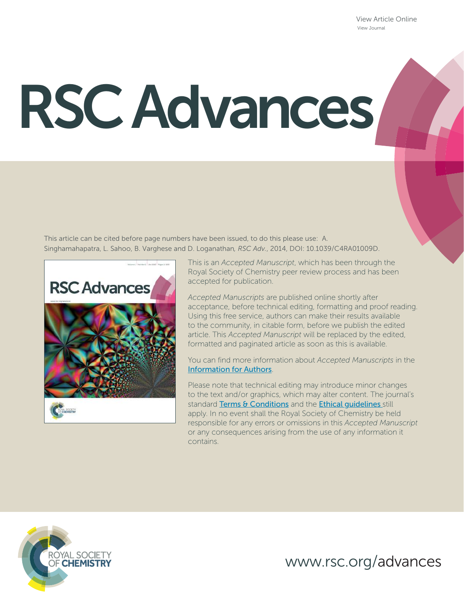View Article Online View Journal

# RSC Advances

This article can be cited before page numbers have been issued, to do this please use: A. Singhamahapatra, L. Sahoo, B. Varghese and D. Loganathan*, RSC Adv.*, 2014, DOI: 10.1039/C4RA01009D.



This is an *Accepted Manuscript*, which has been through the Royal Society of Chemistry peer review process and has been accepted for publication.

*Accepted Manuscripts* are published online shortly after acceptance, before technical editing, formatting and proof reading. Using this free service, authors can make their results available to the community, in citable form, before we publish the edited article. This *Accepted Manuscript* will be replaced by the edited, formatted and paginated article as soon as this is available.

You can find more information about *Accepted Manuscripts* in the Information for Authors.

Please note that technical editing may introduce minor changes to the text and/or graphics, which may alter content. The journal's standard Terms & Conditions and the Ethical quidelines still apply. In no event shall the Royal Society of Chemistry be held responsible for any errors or omissions in this *Accepted Manuscript* or any consequences arising from the use of any information it contains.



www.rsc.org/advances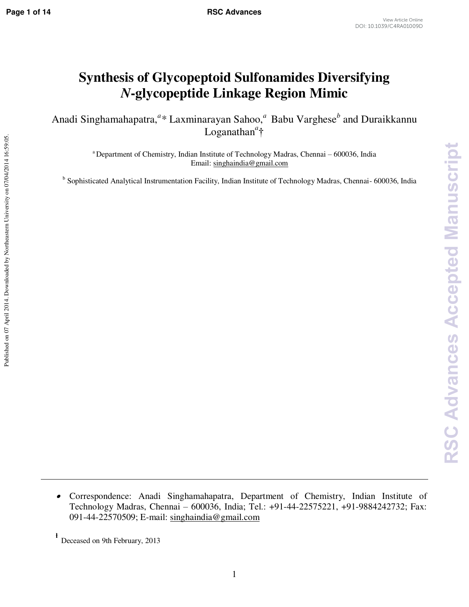# **Synthesis of Glycopeptoid Sulfonamides Diversifying**  *N***-glycopeptide Linkage Region Mimic**

Anadi Singhamahapatra,<sup>*a*\*</sup> Laxminarayan Sahoo,<sup>*a*</sup> Babu Varghese<sup>*b*</sup> and Duraikkannu Loganathan*<sup>a</sup>* †

> <sup>a</sup> Department of Chemistry, Indian Institute of Technology Madras, Chennai – 600036, India Email: [singhaindia@gmail.com](mailto:laxminarayanchem@gmail.com)

<sup>b</sup> Sophisticated Analytical Instrumentation Facility, Indian Institute of Technology Madras, Chennai- 600036, India

 $\bullet$  Correspondence: Anadi Singhamahapatra, Department of Chemistry, Indian Institute of Technology Madras, Chennai – 600036, India; Tel.: +91-44-22575221, +91-9884242732; Fax: 091-44-22570509; E-mail: [singhaindia@gmail.com](mailto:laxminarayanchem@gmail.com) 

Deceased on 9th February, 2013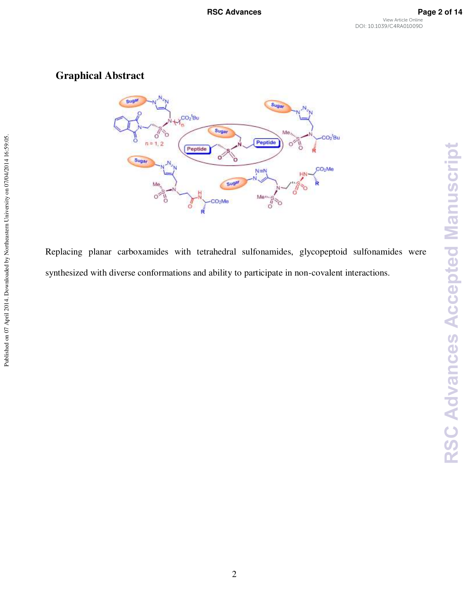**RSC Advances Accepted Manuscript** 

# **Graphical Abstract**



Replacing planar carboxamides with tetrahedral sulfonamides, glycopeptoid sulfonamides were synthesized with diverse conformations and ability to participate in non-covalent interactions.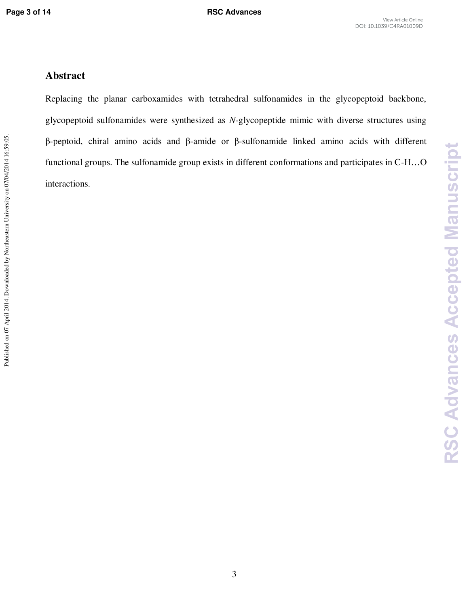**RSC Advances Accepted Manuscript** 

## **Abstract**

Replacing the planar carboxamides with tetrahedral sulfonamides in the glycopeptoid backbone, glycopeptoid sulfonamides were synthesized as *N*-glycopeptide mimic with diverse structures using β-peptoid, chiral amino acids and β-amide or β-sulfonamide linked amino acids with different functional groups. The sulfonamide group exists in different conformations and participates in C-H…O interactions.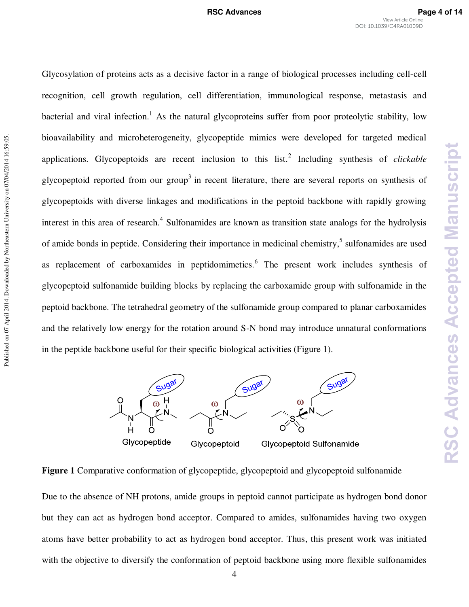**RSC Advances Accepted Manuscript** 

Glycosylation of proteins acts as a decisive factor in a range of biological processes including cell-cell recognition, cell growth regulation, cell differentiation, immunological response, metastasis and bacterial and viral infection.<sup>1</sup> As the natural glycoproteins suffer from poor proteolytic stability, low bioavailability and microheterogeneity, glycopeptide mimics were developed for targeted medical applications. Glycopeptoids are recent inclusion to this list.<sup>2</sup> Including synthesis of *clickable* glycopeptoid reported from our group<sup>3</sup> in recent literature, there are several reports on synthesis of glycopeptoids with diverse linkages and modifications in the peptoid backbone with rapidly growing interest in this area of research.<sup>4</sup> Sulfonamides are known as transition state analogs for the hydrolysis of amide bonds in peptide. Considering their importance in medicinal chemistry,<sup>5</sup> sulfonamides are used as replacement of carboxamides in peptidomimetics.<sup>6</sup> The present work includes synthesis of glycopeptoid sulfonamide building blocks by replacing the carboxamide group with sulfonamide in the peptoid backbone. The tetrahedral geometry of the sulfonamide group compared to planar carboxamides and the relatively low energy for the rotation around S-N bond may introduce unnatural conformations in the peptide backbone useful for their specific biological activities (Figure 1).



**Figure 1** Comparative conformation of glycopeptide, glycopeptoid and glycopeptoid sulfonamide Due to the absence of NH protons, amide groups in peptoid cannot participate as hydrogen bond donor but they can act as hydrogen bond acceptor. Compared to amides, sulfonamides having two oxygen atoms have better probability to act as hydrogen bond acceptor. Thus, this present work was initiated with the objective to diversify the conformation of peptoid backbone using more flexible sulfonamides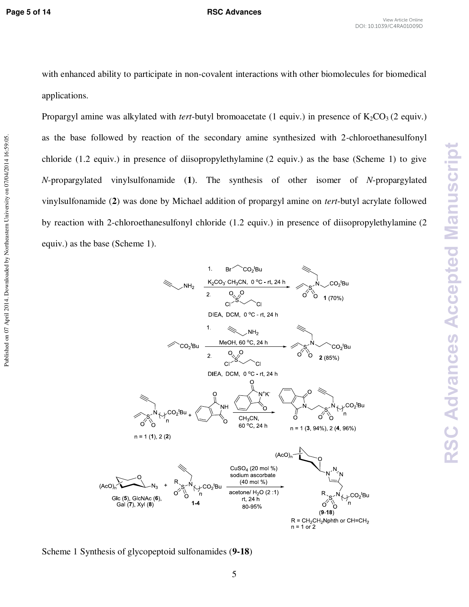Published on 07 April 2014. Downloaded by Northeastern University on 07/04/2014 16:59:05.

### **Page 5 of 14 RSC Advances**

with enhanced ability to participate in non-covalent interactions with other biomolecules for biomedical applications.

Propargyl amine was alkylated with *tert*-butyl bromoacetate (1 equiv.) in presence of  $K_2CO_3$  (2 equiv.) as the base followed by reaction of the secondary amine synthesized with 2-chloroethanesulfonyl chloride (1.2 equiv.) in presence of diisopropylethylamine (2 equiv.) as the base (Scheme 1) to give *N*-propargylated vinylsulfonamide (**1**). The synthesis of other isomer of *N*-propargylated vinylsulfonamide (**2**) was done by Michael addition of propargyl amine on *tert*-butyl acrylate followed by reaction with 2-chloroethanesulfonyl chloride (1.2 equiv.) in presence of diisopropylethylamine (2 equiv.) as the base (Scheme 1).



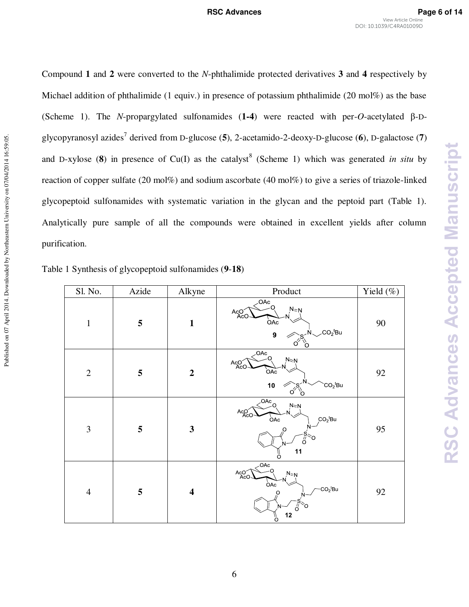**RSC Advances Accepted Manuscript** 

Compound **1** and **2** were converted to the *N*-phthalimide protected derivatives **3** and **4** respectively by Michael addition of phthalimide (1 equiv.) in presence of potassium phthalimide (20 mol%) as the base (Scheme 1). The *N*-propargylated sulfonamides (**1-4**) were reacted with per-*O*-acetylated β-Dglycopyranosyl azides<sup>7</sup> derived from D-glucose (**5**), 2-acetamido-2-deoxy-D-glucose (**6**), D-galactose (**7**) and D-xylose  $(8)$  in presence of Cu(I) as the catalyst<sup>8</sup> (Scheme 1) which was generated *in situ* by reaction of copper sulfate (20 mol%) and sodium ascorbate (40 mol%) to give a series of triazole-linked glycopeptoid sulfonamides with systematic variation in the glycan and the peptoid part (Table 1). Analytically pure sample of all the compounds were obtained in excellent yields after column purification.

| Table 1 Synthesis of glycopeptoid sulfonamides (9-18) |  |  |  |
|-------------------------------------------------------|--|--|--|
|-------------------------------------------------------|--|--|--|

| Sl. No.        | Azide | Alkyne                  | Product                                                                                                      | Yield $(\%)$ |
|----------------|-------|-------------------------|--------------------------------------------------------------------------------------------------------------|--------------|
| $\mathbf{1}$   | 5     | $\mathbf{1}$            | .OAc<br>٠O<br>$N = N$<br>AcO<br><b>OAc</b><br>$CO2$ tBu<br>$\boldsymbol{9}$<br>O                             | 90           |
| $\overline{2}$ | 5     | $\boldsymbol{2}$        | $\overline{<}^{\text{OAc}}_{-Q}$<br>$N \approx N$<br>AcO<br><b>OAc</b><br>10<br>$CO2$ tBu<br>Ő<br>C          | 92           |
| 3              | 5     | $\mathbf{3}$            | $\sqrt{OAc}$ <sub>O</sub><br>$N = N$<br>Aco <sup>C</sup><br>$CO2$ tBu<br>OAc<br>$\circ$<br>∩<br>ő<br>11<br>ö | 95           |
| $\overline{4}$ | 5     | $\overline{\mathbf{4}}$ | OAC<br>∩<br>ACO<br>$N = N$<br>OAC<br>$CO2$ tBu<br>O<br>$\overline{0}$<br>Ω<br>$N-$<br>12<br>ő                | 92           |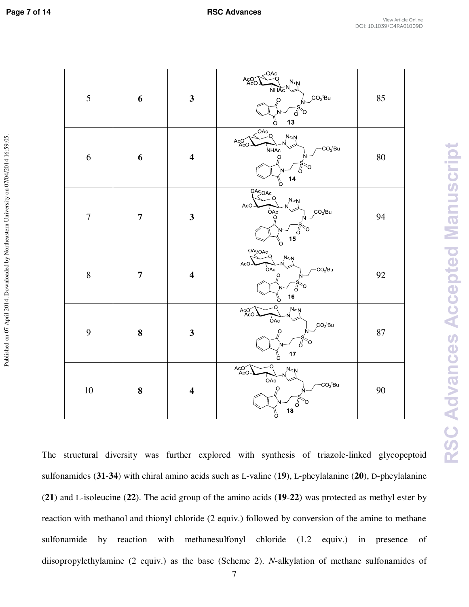Published on 07 April 2014. Downloaded by Northeastern University on 07/04/2014 16:59:05.

| 5                | 6                       | $\mathbf{3}$            | $\overset{OAC}{\longrightarrow}$<br>A <sub>8</sub> <sup>O</sup><br>$N:N$<br>$N \times N$<br>$\sqrt{\frac{1}{6}}$ CO <sub>2</sub> <sup>t</sup> Bu<br>13<br>$\int_{0}^{\pi}$ | 85       |
|------------------|-------------------------|-------------------------|----------------------------------------------------------------------------------------------------------------------------------------------------------------------------|----------|
| 6                | 6                       | $\overline{\mathbf{4}}$ | $\overline{OAC}$<br>$N = N$<br>AcO<br>$-CO_2$ tBu<br>NHAc<br>$\overline{a}$<br>o≍o<br>14<br>O                                                                              | $80\,$   |
| $\boldsymbol{7}$ | $\overline{\mathbf{7}}$ | $\mathbf{3}$            | $\overline{OACOAC}$<br>$N = N$<br>AcO<br>$\overrightarrow{OAC}$<br>$CO2$ tBu<br>$\overline{a}$<br>N<br>15<br>O                                                             | 94       |
| 8                | $\overline{7}$          | $\overline{\mathbf{4}}$ | $\overline{OACOAC}$<br>$N \ge N$<br>AcO<br>OAc<br>$CO2$ tBu<br>$\overline{Q}$<br>$\sigma$<br>`o<br>N-<br>16<br>%                                                           | 92       |
| 9                | 8                       | $\overline{\mathbf{3}}$ | $N=N$<br>Aco<br>$\overline{OAC}$<br>$CO2$ tBu<br>$\overline{O}$<br>$\frac{-s}{0}$ $\infty$<br>N-<br>17<br>\¦<br>O                                                          | $\bf 87$ |
| $10\,$           | ${\bf 8}$               | $\overline{\mathbf{4}}$ | Q<br>ACO<br>$N = N$<br>OAC<br>$\cdot$ CO <sub>2</sub> <sup>t</sup> Bu<br>$\overline{Q}$<br>N-<br>ő<br>18                                                                   | 90       |

The structural diversity was further explored with synthesis of triazole-linked glycopeptoid sulfonamides (**31**-**34**) with chiral amino acids such as L-valine (**19**), L-pheylalanine (**20**), D-pheylalanine (**21**) and L-isoleucine (**22**). The acid group of the amino acids (**19**-**22**) was protected as methyl ester by reaction with methanol and thionyl chloride (2 equiv.) followed by conversion of the amine to methane sulfonamide by reaction with methanesulfonyl chloride (1.2 equiv.) in presence of diisopropylethylamine (2 equiv.) as the base (Scheme 2). *N*-alkylation of methane sulfonamides of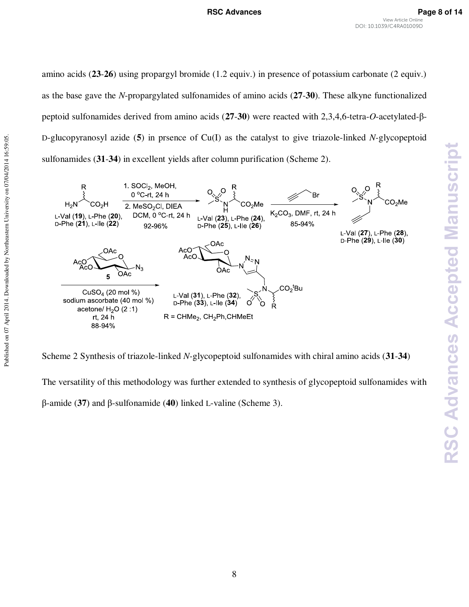amino acids (**23**-**26**) using propargyl bromide (1.2 equiv.) in presence of potassium carbonate (2 equiv.) as the base gave the *N*-propargylated sulfonamides of amino acids (**27**-**30**). These alkyne functionalized peptoid sulfonamides derived from amino acids (**27**-**30**) were reacted with 2,3,4,6-tetra-*O*-acetylated-β-D-glucopyranosyl azide (**5**) in prsence of Cu(I) as the catalyst to give triazole-linked *N-*glycopeptoid sulfonamides (**31**-**34**) in excellent yields after column purification (Scheme 2).



Published on 07 April 2014. Downloaded by Northeastern University on 07/04/2014 16:59:05.

Published on 07 April 2014. Downloaded by Northeastern University on 07/04/2014 16:59:05.

Scheme 2 Synthesis of triazole-linked *N-*glycopeptoid sulfonamides with chiral amino acids (**31**-**34**)

The versatility of this methodology was further extended to synthesis of glycopeptoid sulfonamides with β-amide (**37**) and β-sulfonamide (**40**) linked L-valine (Scheme 3).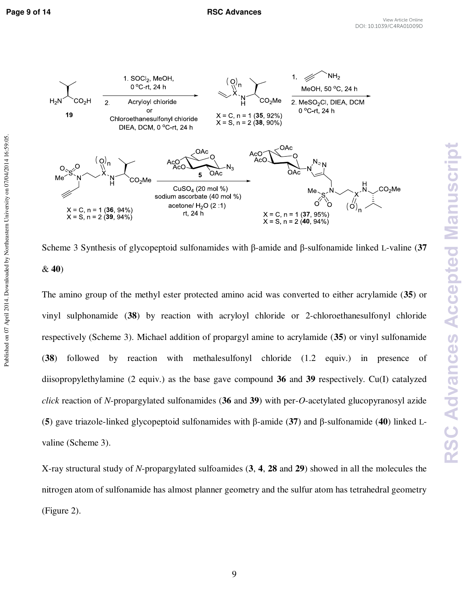Published on 07 April 2014. Downloaded by Northeastern University on 07/04/2014 16:59:05.



Scheme 3 Synthesis of glycopeptoid sulfonamides with β-amide and β-sulfonamide linked L-valine (**37** & **40**)

The amino group of the methyl ester protected amino acid was converted to either acrylamide (**35**) or vinyl sulphonamide (**38**) by reaction with acryloyl chloride or 2-chloroethanesulfonyl chloride respectively (Scheme 3). Michael addition of propargyl amine to acrylamide (**35**) or vinyl sulfonamide (**38**) followed by reaction with methalesulfonyl chloride (1.2 equiv.) in presence of diisopropylethylamine (2 equiv.) as the base gave compound **36** and **39** respectively. Cu(I) catalyzed *click* reaction of *N*-propargylated sulfonamides (**36** and **39**) with per-*O*-acetylated glucopyranosyl azide (**5**) gave triazole-linked glycopeptoid sulfonamides with β-amide (**37**) and β-sulfonamide (**40**) linked Lvaline (Scheme 3).

X-ray structural study of *N*-propargylated sulfoamides (**3**, **4**, **28** and **29**) showed in all the molecules the nitrogen atom of sulfonamide has almost planner geometry and the sulfur atom has tetrahedral geometry (Figure 2).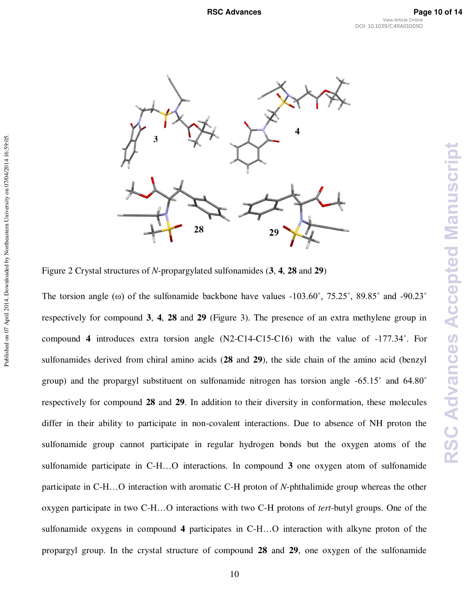

Figure 2 Crystal structures of *N*-propargylated sulfonamides (**3**, **4**, **28** and **29**)

Published on 07 April 2014. Downloaded by Northeastern University on 07/04/2014 16:59:05.

The torsion angle ( $\omega$ ) of the sulfonamide backbone have values  $-103.60^\circ$ ,  $75.25^\circ$ ,  $89.85^\circ$  and  $-90.23^\circ$ respectively for compound **3**, **4**, **28** and **29** (Figure 3). The presence of an extra methylene group in compound **4** introduces extra torsion angle (N2-C14-C15-C16) with the value of -177.34˚. For sulfonamides derived from chiral amino acids (**28** and **29**), the side chain of the amino acid (benzyl group) and the propargyl substituent on sulfonamide nitrogen has torsion angle -65.15˚ and 64.80˚ respectively for compound **28** and **29**. In addition to their diversity in conformation, these molecules differ in their ability to participate in non-covalent interactions. Due to absence of NH proton the sulfonamide group cannot participate in regular hydrogen bonds but the oxygen atoms of the sulfonamide participate in C-H…O interactions. In compound **3** one oxygen atom of sulfonamide participate in C-H…O interaction with aromatic C-H proton of *N*-phthalimide group whereas the other oxygen participate in two C-H…O interactions with two C-H protons of *tert*-butyl groups. One of the sulfonamide oxygens in compound **4** participates in C-H…O interaction with alkyne proton of the propargyl group. In the crystal structure of compound **28** and **29**, one oxygen of the sulfonamide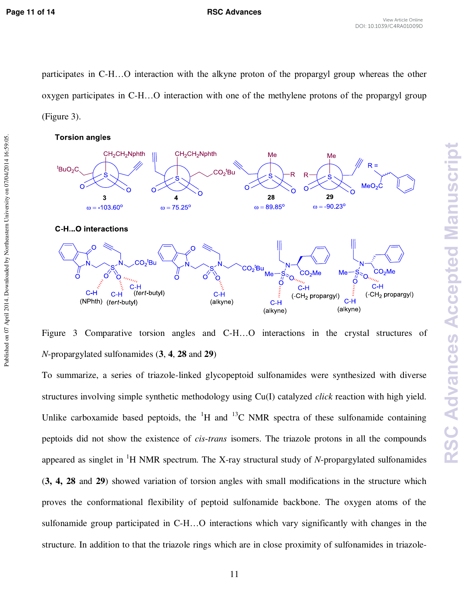Published on 07 April 2014. Downloaded by Northeastern University on 07/04/2014 16:59:05.

participates in C-H…O interaction with the alkyne proton of the propargyl group whereas the other oxygen participates in C-H…O interaction with one of the methylene protons of the propargyl group (Figure 3).





Figure 3 Comparative torsion angles and C-H…O interactions in the crystal structures of *N*-propargylated sulfonamides (**3**, **4**, **28** and **29**)

To summarize, a series of triazole-linked glycopeptoid sulfonamides were synthesized with diverse structures involving simple synthetic methodology using Cu(I) catalyzed *click* reaction with high yield. Unlike carboxamide based peptoids, the  ${}^{1}H$  and  ${}^{13}C$  NMR spectra of these sulfonamide containing peptoids did not show the existence of *cis*-*trans* isomers. The triazole protons in all the compounds appeared as singlet in  ${}^{1}H$  NMR spectrum. The X-ray structural study of *N*-propargylated sulfonamides (**3, 4, 28** and **29**) showed variation of torsion angles with small modifications in the structure which proves the conformational flexibility of peptoid sulfonamide backbone. The oxygen atoms of the sulfonamide group participated in C-H…O interactions which vary significantly with changes in the structure. In addition to that the triazole rings which are in close proximity of sulfonamides in triazole-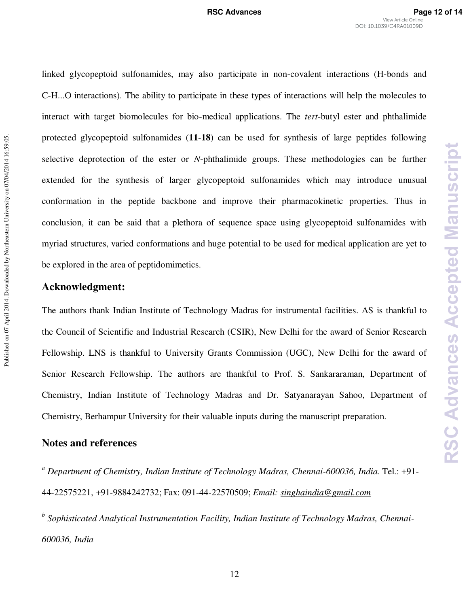linked glycopeptoid sulfonamides, may also participate in non-covalent interactions (H-bonds and C-H...O interactions). The ability to participate in these types of interactions will help the molecules to interact with target biomolecules for bio-medical applications. The *tert*-butyl ester and phthalimide protected glycopeptoid sulfonamides (**11**-**18**) can be used for synthesis of large peptides following selective deprotection of the ester or *N*-phthalimide groups. These methodologies can be further extended for the synthesis of larger glycopeptoid sulfonamides which may introduce unusual conformation in the peptide backbone and improve their pharmacokinetic properties. Thus in conclusion, it can be said that a plethora of sequence space using glycopeptoid sulfonamides with myriad structures, varied conformations and huge potential to be used for medical application are yet to be explored in the area of peptidomimetics.

## **Acknowledgment:**

The authors thank Indian Institute of Technology Madras for instrumental facilities. AS is thankful to the Council of Scientific and Industrial Research (CSIR), New Delhi for the award of Senior Research Fellowship. LNS is thankful to University Grants Commission (UGC), New Delhi for the award of Senior Research Fellowship. The authors are thankful to Prof. S. Sankararaman, Department of Chemistry, Indian Institute of Technology Madras and Dr. Satyanarayan Sahoo, Department of Chemistry, Berhampur University for their valuable inputs during the manuscript preparation.

## **Notes and references**

<sup>a</sup> Department of Chemistry, Indian Institute of Technology Madras, Chennai-600036, India. Tel.: +91-44-22575221, +91-9884242732; Fax: 091-44-22570509; *Email: [singhaindia@gmail.com](mailto:singhaindia@gmail.com)*

*b Sophisticated Analytical Instrumentation Facility, Indian Institute of Technology Madras, Chennai-600036, India*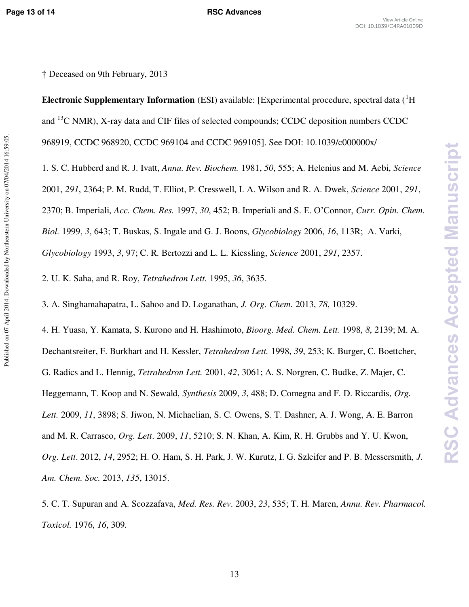**RSC Advances Accepted Manuscript** 

† Deceased on 9th February, 2013

**Electronic Supplementary Information** (ESI) available: [Experimental procedure, spectral data (<sup>1</sup>H) and <sup>13</sup>C NMR), X-ray data and CIF files of selected compounds; CCDC deposition numbers CCDC 968919, CCDC 968920, CCDC 969104 and CCDC 969105]. See DOI: 10.1039/c000000x/

1. S. C. Hubberd and R. J. Ivatt, *Annu. Rev. Biochem.* 1981, *50*, 555; A. Helenius and M. Aebi, *Science*

2001, *291*, 2364; P. M. Rudd, T. Elliot, P. Cresswell, I. A. Wilson and R. A. Dwek, *Science* 2001, *291*,

2370; B. Imperiali, *Acc. Chem. Res.* 1997, *30*, 452; B. Imperiali and S. E. O'Connor, *Curr. Opin. Chem.* 

*Biol.* 1999, *3*, 643; T. Buskas, S. Ingale and G. J. Boons, *Glycobiology* 2006, *16*, 113R; A. Varki,

*Glycobiology* 1993, *3*, 97; C. R. Bertozzi and L. L. Kiessling, *Science* 2001, *291*, 2357.

2. U. K. Saha, and R. Roy, *Tetrahedron Lett.* 1995, *36*, 3635.

3. A. Singhamahapatra, L. Sahoo and D. Loganathan, *J. Org. Chem.* 2013, *78*, 10329.

4. H. Yuasa, Y. Kamata, S. Kurono and H. Hashimoto, *Bioorg. Med. Chem. Lett.* 1998, *8*, 2139; M. A. Dechantsreiter, F. Burkhart and H. Kessler, *Tetrahedron Lett.* 1998, *39*, 253; K. Burger, C. Boettcher, G. Radics and L. Hennig, *Tetrahedron Lett.* 2001, *42*, 3061; A. S. Norgren, C. Budke, Z. Majer, C. Heggemann, T. Koop and N. Sewald, *Synthesis* 2009, *3*, 488; D. Comegna and F. D. Riccardis, *Org. Lett.* 2009, *11*, 3898; S. Jiwon, N. Michaelian, S. C. Owens, S. T. Dashner, A. J. Wong, A. E. Barron and M. R. Carrasco, *Org. Lett*. 2009, *11*, 5210; S. N. Khan, A. Kim, R. H. Grubbs and Y. U. Kwon, *Org. Lett*. 2012, *14*, 2952; H. O. Ham, S. H. Park, J. W. Kurutz, I. G. Szleifer and P. B. Messersmith, *J. Am. Chem. Soc.* 2013, *135*, 13015.

5. C. T. Supuran and A. Scozzafava, *Med. Res. Rev*. 2003, *23*, 535; T. H. Maren, *Annu. Rev. Pharmacol. Toxicol.* 1976, *16*, 309.